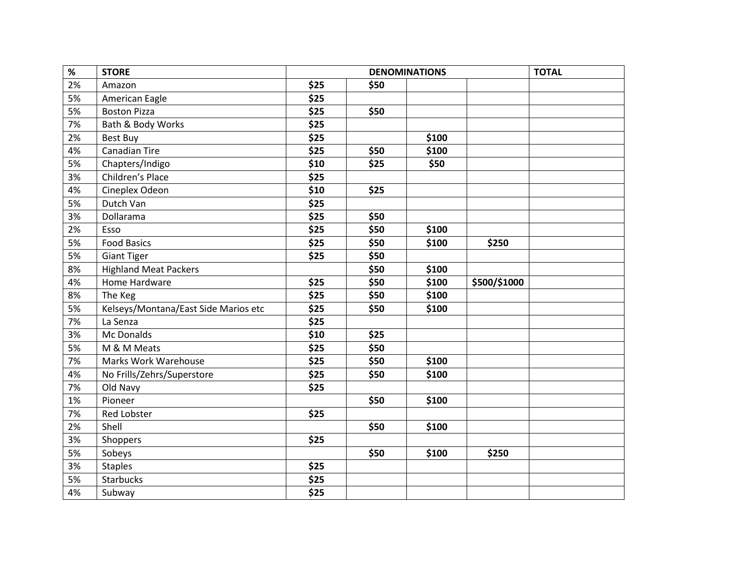| $\%$ | <b>STORE</b>                         |      | <b>TOTAL</b> |       |              |  |
|------|--------------------------------------|------|--------------|-------|--------------|--|
| 2%   | Amazon                               | \$25 | \$50         |       |              |  |
| 5%   | American Eagle                       | \$25 |              |       |              |  |
| 5%   | <b>Boston Pizza</b>                  | \$25 | \$50         |       |              |  |
| 7%   | Bath & Body Works                    | \$25 |              |       |              |  |
| 2%   | <b>Best Buy</b>                      | \$25 |              | \$100 |              |  |
| 4%   | <b>Canadian Tire</b>                 | \$25 | \$50         | \$100 |              |  |
| 5%   | Chapters/Indigo                      | \$10 | \$25         | \$50  |              |  |
| 3%   | Children's Place                     | \$25 |              |       |              |  |
| 4%   | Cineplex Odeon                       | \$10 | \$25         |       |              |  |
| 5%   | Dutch Van                            | \$25 |              |       |              |  |
| 3%   | Dollarama                            | \$25 | \$50         |       |              |  |
| 2%   | Esso                                 | \$25 | \$50         | \$100 |              |  |
| 5%   | <b>Food Basics</b>                   | \$25 | \$50         | \$100 | \$250        |  |
| 5%   | <b>Giant Tiger</b>                   | \$25 | \$50         |       |              |  |
| 8%   | <b>Highland Meat Packers</b>         |      | \$50         | \$100 |              |  |
| 4%   | Home Hardware                        | \$25 | \$50         | \$100 | \$500/\$1000 |  |
| 8%   | The Keg                              | \$25 | \$50         | \$100 |              |  |
| 5%   | Kelseys/Montana/East Side Marios etc | \$25 | \$50         | \$100 |              |  |
| 7%   | La Senza                             | \$25 |              |       |              |  |
| 3%   | Mc Donalds                           | \$10 | \$25         |       |              |  |
| 5%   | M & M Meats                          | \$25 | \$50         |       |              |  |
| 7%   | Marks Work Warehouse                 | \$25 | \$50         | \$100 |              |  |
| 4%   | No Frills/Zehrs/Superstore           | \$25 | \$50         | \$100 |              |  |
| 7%   | Old Navy                             | \$25 |              |       |              |  |
| 1%   | Pioneer                              |      | \$50         | \$100 |              |  |
| 7%   | Red Lobster                          | \$25 |              |       |              |  |
| 2%   | Shell                                |      | \$50         | \$100 |              |  |
| 3%   | Shoppers                             | \$25 |              |       |              |  |
| 5%   | Sobeys                               |      | \$50         | \$100 | \$250        |  |
| 3%   | <b>Staples</b>                       | \$25 |              |       |              |  |
| 5%   | Starbucks                            | \$25 |              |       |              |  |
| 4%   | Subway                               | \$25 |              |       |              |  |